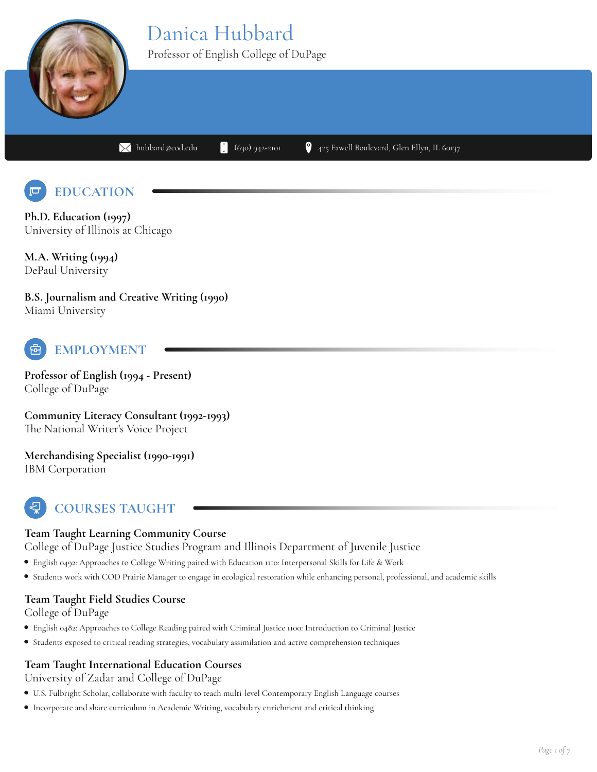# Danica Hubbard



Professor of English College of DuPage

 $\blacksquare$ [hubbard@cod.edu](mailto:hubbard@cod.edu)  $\blacksquare$  (630) 942-2101  $\blacksquare$  425 Fawell Boulevard, Glen Ellyn, IL 60137



**Ph.D. Education (1997)** University of Illinois at Chicago

**M.A. Writing (1994)** DePaul University

**B.S. Journalism and Creative Writing (1990)** Miami University



# **EMPLOYMENT**

**Professor of English (1994 - Present)** College of DuPage

**Community Literacy Consultant (1992-1993)** The National Writer's Voice Project

**Merchandising Specialist (1990-1991)** IBM Corporation

# **COURSES TAUGHT**

### **Team Taught Learning Community Course**

College of DuPage Justice Studies Program and Illinois Department of Juvenile Justice

- English 0492: Approaches to College Writing paired with Education 1110: Interpersonal Skills for Life & Work
- Students work with COD Prairie Manager to engage in ecological restoration while enhancing personal, professional, and academic skills

### **Team Taught Field Studies Course**

College of DuPage

- English 0482: Approaches to College Reading paired with Criminal Justice 1100: Introduction to Criminal Justice
- Students exposed to critical reading strategies, vocabulary assimilation and active comprehension techniques

### **Team Taught International Education Courses**

University of Zadar and College of DuPage

- U.S. Fulbright Scholar, collaborate with faculty to teach multi-level Contemporary English Language courses
- Incorporate and share curriculum in Academic Writing, vocabulary enrichment and critical thinking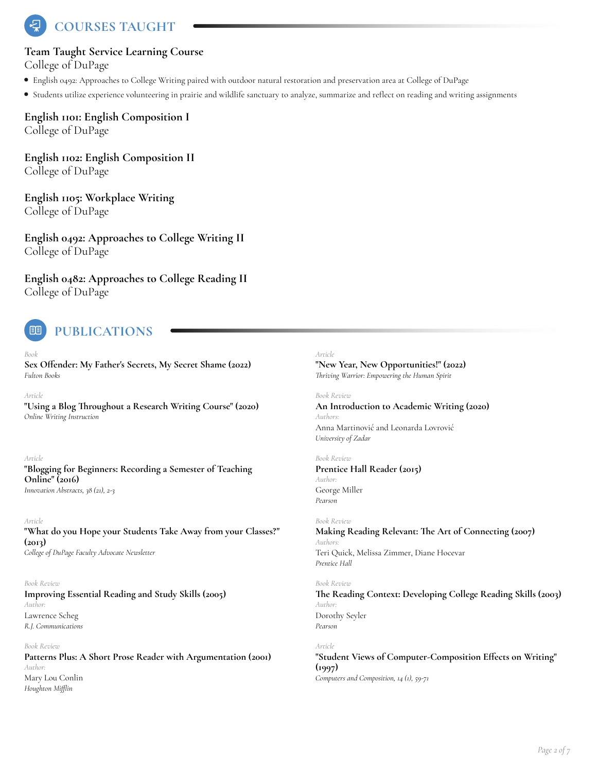**COURSES TAUGHT**

#### **Team Taught Service Learning Course**

College of DuPage

- English 0492: Approaches to College Writing paired with outdoor natural restoration and preservation area at College of DuPage
- Students utilize experience volunteering in prairie and wildlife sanctuary to analyze, summarize and reEect on reading and writing assignments

**English 1101: English Composition I** College of DuPage

**English 1102: English Composition II** College of DuPage

**English 1105: Workplace Writing** College of DuPage

**English 0492: Approaches to College Writing II** College of DuPage

**English 0482: Approaches to College Reading II** College of DuPage



#### *Book*

**Sex Offender:** My Father's Secrets, My Secret Shame (2022) *Fulton Books*

*Article*

**"Using a Blog @roughout a Research Writing Course" (2020)** *Online Writing Instruction*

*Article*

#### **"BloAing for Beginners: Recording a Semester of Teaching Online" (2016)** *Innovation Abstracts, 38 (21), 2-3*

*Article* **"What do you Hope your Students Take Away from your Classes?" (2013)** *College of DuPage Faculty Advocate Newsletter*

*Book Review*

#### **Improving Essential Reading and Study Skills (2005)** *Author:* Lawrence Scheg *R.J. Communications*

*Book Review* **Patterns Plus: A Short Prose Reader with Argumentation (2001)** *Author:* Mary Lou Conlin *Houghton Mifflin*

#### *Article*

**"New Year, New Opportunities!" (2022)** *riving Warrior: Empowering the Human Spirit*

*Book Review*

**An Introduction to Academic Writing (2020)** *Authors:* Anna Martinović and Leonarda Lovrović *University of Zadar*

*Book Review*

**Prentice Hall Reader (2015)** *Author:* George Miller *Pearson*

#### *Book Review*

**Making Reading Relevant: @e Art of Connecting (2007)** *Authors:* Teri Quick, Melissa Zimmer, Diane Hocevar *Prentice Hall*

#### *Book Review*

**@e Reading Context: Developing College Reading Skills (2003)** *Author:* Dorothy Seyler *Pearson*

#### *Article*

**"Student Views of Computer-Composition E:ects on Writing" (1997)** *Computers and Composition, 14 (1), 59-71*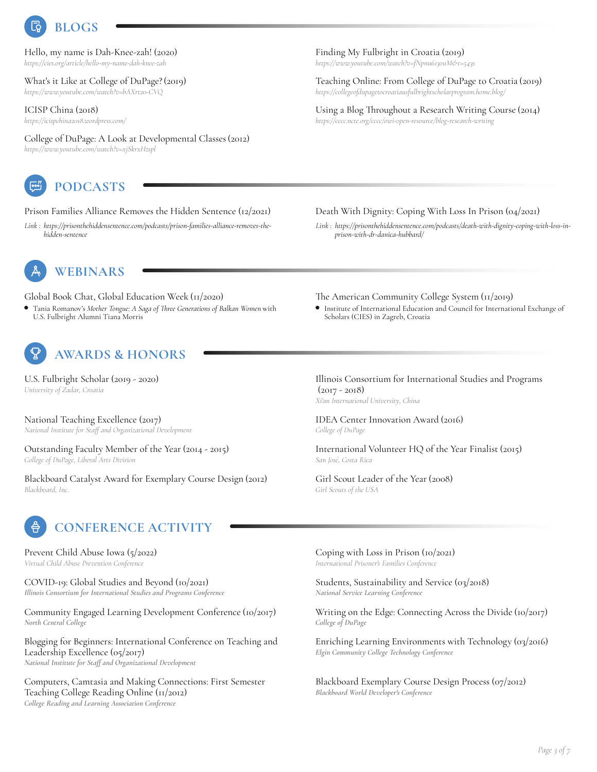

Hello, my name is Dah-Knee-zah! (2020) *https://cies.org/article/hello-my-name-dah-knee-zah*

What's it Like at College of DuPage? (2019) *https://www.youtube.com/watch?v=bAXrt20-CVQ*

ICISP China (2018) *https://icispchina2018.wordpress.com/*

College of DuPage: A Look at Developmental Classes(2012) *https://www.youtube.com/watch?v=xjSkrxHzspl*



**PODCASTS**

Prison Families Alliance Removes the Hidden Sentence (12/2021)

*Link : https://prisonthehiddensentence.com/podcasts/prison-families-alliance-removes-the hidden-sentence*

**WEBINARS**

Global Book Chat, Global Education Week (11/2020)

Tania Romanov's *Mother Tongue: A Saga of ree Generations of Balkan Women* with obal Book Chat, Global Education Week (11/2020)<br>Tania Romanov's Mother Tongue: A Saga of Three Generations of Balkan Women with Cliss Institute of International Education and Council for Internationa<br>U.S. Fulbright Alumni



U.S. Fulbright Scholar (2019 - 2020) *University of Zadar, Croatia*

National Teaching Excellence (2017) *National Institute for Staff and Organizational Development*

Outstanding Faculty Member of the Year (2014 - 2015) *College of DuPage, Liberal Arts Division*

Blackboard Catalyst Award for Exemplary Course Design (2012) Girl Scout Leader of the Year (2008)<br>Blackboard, Inc. Girl Scouts of the USA



Prevent Child Abuse Iowa (5/2022)

COVID-19: Global Studies and Beyond (10/2021) *Illinois Consortium for International Studies* and *Programs Conference Illinois Consortium for International Studies* and *Programs Conference National Service Learning Conference (03/2018)* 

Community Engaged Learning Development Conference (10/2017) Writing on the Edge: Connecting Across the Divide (10/2017)<br>*North Central College* of DuPage of DuPage of DuPage

Blogging for Beginners: International Conference on Teaching and Leadership Excellence (05/2017) *National Institute for Staff and Organizational Development*

Computers, Camtasia and Making Connections: First Semester Teaching College Reading Online (11/2012) *College Reading and Learning Association Conference*

Finding My Fulbright in Croatia (2019) *https://www.youtube.com/watch?v=fNpnu613ouM&t=543s*

Teaching Online: From College of DuPage to Croatia (2019) *https://collegeofdupagetocroatiausfulbrightscholarprogram.home.blog/*

Using a Blog Throughout a Research Writing Course (2014) *https://cccc.ncte.org/cccc/owi-open-resource/blog-research-writing*

#### Death With Dignity: Coping With Loss In Prison (04/2o21)

*Link : https://prisonthehiddensentence.com/podcasts/death-with-dignity-coping-with-loss-in prison-with-dr-danica-hubbard/*

Institute of International Education and Council for International Exchange of Scholars (CIES) in Zagreb, Croatia

Illinois Consortium for International Studies and Programs  $(2017 - 2018)$ *Xi'an International University, China*

IDEA Center Innovation Award (2016) *College of DuPage*

International Volunteer HQ of the Year Finalist (2015) *San José, Costa Rica*

*Girl Scouts of the USA*

*Virtual Child Abuse Prevention Conference* Coping with Loss in Prison (10/2021) *International Prisoner's Families Conference*

*National Service Learning Conference*

*College of DuPage*

Enriching Learning Environments with Technology (03/2016) *Elgin Community College Technolo! Conference*

Blackboard Exemplary Course Design Process (07/2012) *Blackboard World Developer's Conference*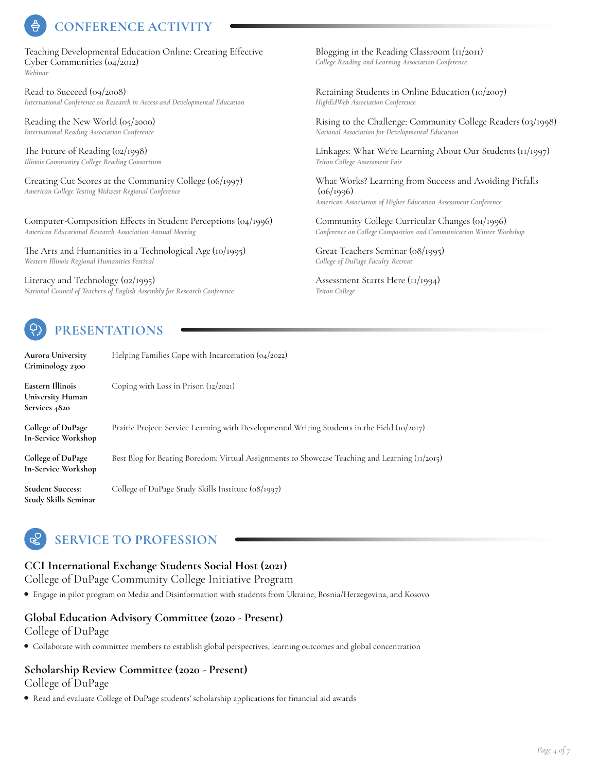## **CONFERENCE ACTIVITY**

Teaching Developmental Education Online: Creating Effective Cyber Communities (04/2012) *Webinar*

Read to Succeed (09/2008) *International Conference on Research in Access and Developmental Education* Retaining Students in Online Education (10/2007)

Reading the New World (05/2000)

The Future of Reading  $(o2/r998)$ *Illinois Community College Reading Consortium*

Computer-Composition Effects in Student Perceptions (04/1996) *American Educational Research Association Annual Meeting*

The Arts and Humanities in a Technological Age (10/1995) *Western Illinois Regional Humanities Festival*

Literacy and Technology (02/1995) *National Council of Teachers of English Assembly for Research Conference* Assessment Starts Here (11/1994)



## **PRESENTATIONS**

**Aurora University Criminology <sup>2300</sup>** Helping Families Cope with Incarceration (04/2022) **Eastern Illinois University Human Services 4820** Coping with Loss in Prison (12/2021) **College of DuPage In-Service Workshop** Prairie Project: Service Learning with Developmental Writing Students in the Field (10/2017) **College of DuPage In-Service Workshop** Best Blog for Beating Boredom: Virtual Assignments to Showcase Teaching and Learning (11/2015) **Student Success: Study Skills Seminar** College of DuPage Study Skills Institute (08/1997)

## **SERVICE TO PROFESSION**

### **CCI International Exchange Students Social Host (2021)**

College of DuPage Community College Initiative Program

Engage in pilot program on Media and Disinformation with students from Ukraine, Bosnia/Herzegovina, and Kosovo

#### **Global Education Advisory Committee (2020 - Present)**

College of DuPage

Collaborate with committee members to establish global perspectives, learning outcomes and global concentration

#### **Scholarship Review Committee (2020 - Present)** College of DuPage

• Read and evaluate College of DuPage students' scholarship applications for financial aid awards

Blogging in the Reading Classroom  $\left(\frac{1}{2011}\right)$ *College Reading and Learning Association Conference*

*HighEdWeb Association Conference*

*International Reading Reading Association Conference International Reading Association Conference Rising to the Challenge: Community College Readers (03/1998)*<br>*National Association for Developmental Educati National Association for Developmental Education*

> Linkages: What We're Learning About Our Students (11/1997) *Triton College Assessment Fair*

Creating Cut Scores at the Community College (06/1997) *American College Testing Midwest Regional Conference* What Works? Learning from Success and Avoiding Pitfalls (06/1996) *American Association of Higher Education Assessment Conference*

> Community College Curricular Changes (01/1996) *Conference on College Composition and Communication Winter Workshop*

Great Teachers Seminar (08/1995) *College of DuPage Faculty Retreat*

*Triton College*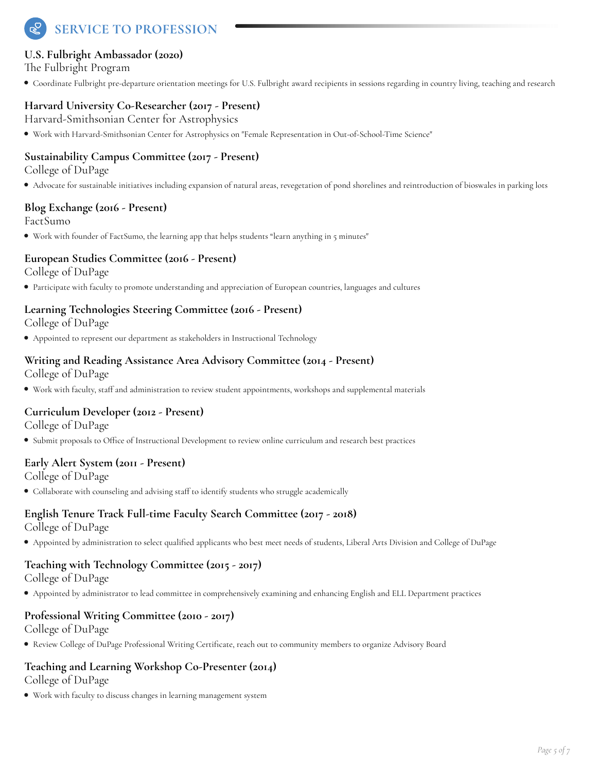# **SERVICE TO PROFESSION**

### **U.S. Fulbright Ambassador (2020)**

The Fulbright Program

Coordinate Fulbright pre-departure orientation meetings for U.S. Fulbright award recipients in sessions regarding in country living, teaching and research

### **Harvard University Co-Researcher (2017 - Present)**

Harvard-Smithsonian Center for Astrophysics

Work with Harvard-Smithsonian Center for Astrophysics on "Female Representation in Out-of-School-Time Science"

### **Sustainability Campus Committee (2017 - Present)**

College of DuPage

Advocate for sustainable initiatives including expansion of natural areas, revegetation of pond shorelines and reintroduction of bioswales in parking lots

#### **Blog Exchange (2016 - Present)**

FactSumo

Work with founder of FactSumo, the learning app that helps students "learn anything in 5 minutes"

#### **European Studies Committee (2016 - Present)**

College of DuPage

Participate with faculty to promote understanding and appreciation of European countries, languages and cultures

## **Learning Technologies Steering Committee (2016 - Present)**

College of DuPage

Appointed to represent our department as stakeholders in Instructional Technology

#### **Writing and Reading Assistance Area Advisory Committee (2014 - Present)**

College of DuPage

Work with faculty, staP and administration to review student appointments, workshops and supplemental materials

### **Curriculum Developer (2012 - Present)**

College of DuPage

Submit proposals to OTce of Instructional Development to review online curriculum and research best practices

### **Early Alert System (2011 - Present)**

College of DuPage

• Collaborate with counseling and advising staff to identify students who struggle academically

#### **English Tenure Track Full-time Faculty Search Committee (2017 - 2018)** College of DuPage

• Appointed by administration to select qualified applicants who best meet needs of students, Liberal Arts Division and College of DuPage

## **Teaching with Technology Committee (2015 - 2017)**

College of DuPage

Appointed by administrator to lead committee in comprehensively examining and enhancing English and ELL Department practices

### **Professional Writing Committee (2010 - 2017)**

College of DuPage

Review College of DuPage Professional Writing Certificate, reach out to community members to organize Advisory Board

#### **Teaching and Learning Workshop Co-Presenter (2014)** College of DuPage

Work with faculty to discuss changes in learning management system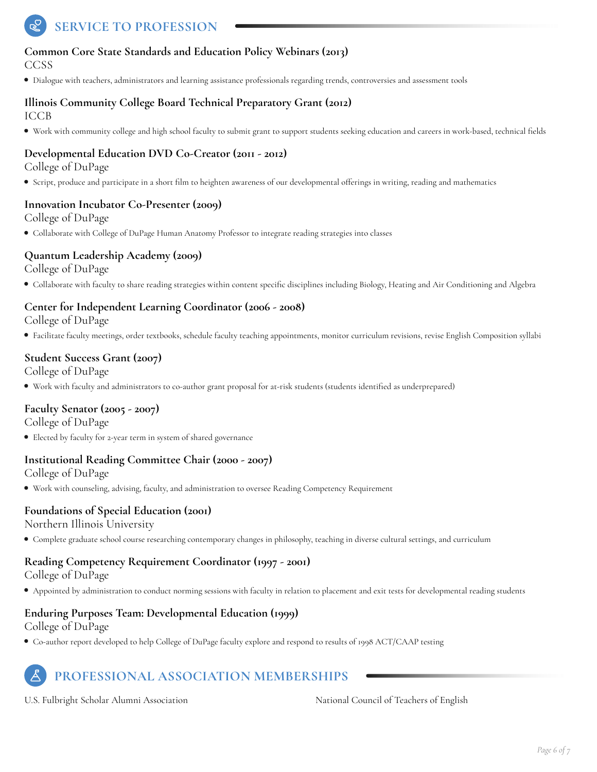# **SERVICE TO PROFESSION**

### **Common Core State Standards and Education Policy Webinars (2013)**

CCSS

Dialogue with teachers, administrators and learning assistance professionals regarding trends, controversies and assessment tools

#### **Illinois Community College Board Technical Preparatory Grant (2012)** ICCB

Work with community college and high school faculty to submit grant to support students seeking education and careers in work-based, technical Qelds

### **Developmental Education DVD Co-Creator (2011 - 2012)**

College of DuPage

Script, produce and participate in a short Qlm toheighten awareness of our developmental oPerings in writing, reading and mathematics

#### **Innovation Incubator Co-Presenter (2009)**

College of DuPage

Collaborate with College of DuPage Human Anatomy Professor to integrate reading strategies into classes

#### **Quantum Leadership Academy (2009)**

College of DuPage

• Collaborate with faculty to share reading strategies within content specific disciplines including Biology, Heating and Air Conditioning and Algebra

### **Center for Independent Learning Coordinator (2006 - 2008)**

College of DuPage

Facilitate faculty meetings, order textbooks, schedule faculty teaching appointments, monitor curriculum revisions, revise English Composition syllabi

#### **Student Success Grant (2007)**

College of DuPage

Work with faculty and administrators to co-author grant proposal for at-risk students (students identiQed as underprepared)

#### **Faculty Senator (2005 - 2007)**

College of DuPage

Elected by faculty for 2-year term in system of shared governance

#### **Institutional Reading Committee Chair (2000 -2007)**

College of DuPage

Work with counseling, advising, faculty, and administration to oversee Reading Competency Requirement

#### **Foundations of Special Education (2001)**

Northern Illinois University

Complete graduate school course researching contemporary changes in philosophy, teaching in diverse cultural settings, and curriculum

### **Reading Competency Requirement Coordinator (1997 - 2001)**

College of DuPage

Appointed by administration to conduct norming sessions with faculty in relation to placement and exit tests for developmental reading students

### **Enduring Purposes Team: Developmental Education (1999)**

College of DuPage

Co-author report developed to help College of DuPage faculty explore and respond to results of 1998 ACT/CAAP testing

## **PROFESSIONAL ASSOCIATION MEMBERSHIPS**

U.S. Fulbright Scholar Alumni Association National Council of Teachers of English